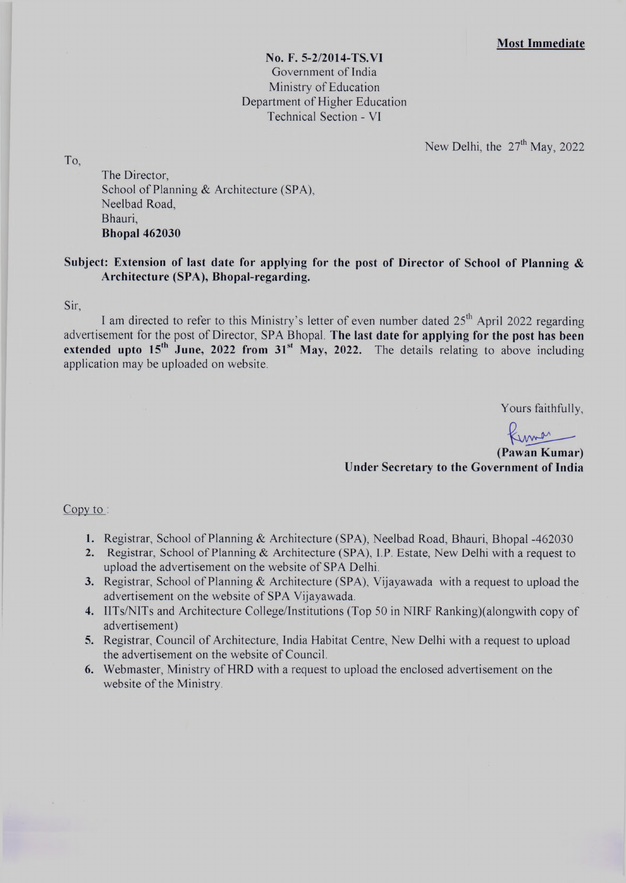**No. F. 5-2/2014-TS.VI** Government of India Ministry of Education Department of Higher Education Technical Section - VI

New Delhi, the  $27<sup>th</sup>$  May, 2022

To.

The Director, School of Planning & Architecture (SPA), Neelbad Road, Bhauri, **Bhopal 462030**

# **Subject: Extension of last date for applying for the post of Director of School of Planning & Architecture (SPA), Bhopal-regarding.**

**Sir,**

I am directed to refer to this Ministry's letter of even number dated  $25<sup>th</sup>$  April 2022 regarding advertisement for the post of Director, SPA Bhopal. **The last date for applying for the post has been extended upto 15<sup>th</sup> June, 2022 from 31<sup>st</sup> May, 2022.** The details relating to above including application may be uploaded on website.

Yours faithfully,

**(Pawan Kumar)**

**Under Secretary to the Government of India**

Copy to :

- 1. Registrar, School of Planning & Architecture (SPA), Neelbad Road, Bhauri, Bhopal -462030
- 2. Registrar, School of Planning & Architecture (SPA), I.P. Estate, New Delhi with a request to upload the advertisement on the website of SPA Delhi.
- 3. Registrar, School of Planning & Architecture (SPA), Vijayawada with a request to upload the advertisement on the website of SPA Vijayawada.
- 4. IlTs/NITs and Architecture College/Institutions (Top 50 in NIRF Ranking)(alongwith copy of advertisement)
- 5. Registrar, Council of Architecture, India Habitat Centre, New Delhi with a request to upload the advertisement on the website of Council.
- 6. Webmaster, Ministry of HRD with a request to upload the enclosed advertisement on the website of the Ministry.